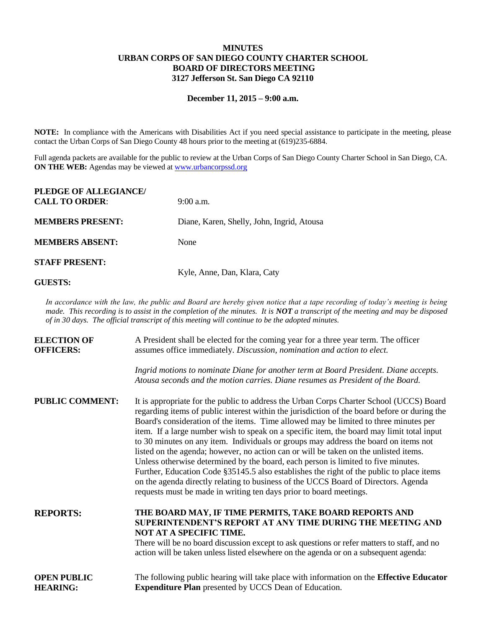## **MINUTES URBAN CORPS OF SAN DIEGO COUNTY CHARTER SCHOOL BOARD OF DIRECTORS MEETING 3127 Jefferson St. San Diego CA 92110**

### **December 11, 2015 – 9:00 a.m.**

**NOTE:** In compliance with the Americans with Disabilities Act if you need special assistance to participate in the meeting, please contact the Urban Corps of San Diego County 48 hours prior to the meeting at (619)235-6884.

Full agenda packets are available for the public to review at the Urban Corps of San Diego County Charter School in San Diego, CA. **ON THE WEB:** Agendas may be viewed at [www.urbancorpssd.org](http://www.urbancorpssd.org/)

| PLEDGE OF ALLEGIANCE/   |                                            |
|-------------------------|--------------------------------------------|
| <b>CALL TO ORDER:</b>   | $9:00$ a.m.                                |
| <b>MEMBERS PRESENT:</b> | Diane, Karen, Shelly, John, Ingrid, Atousa |
| <b>MEMBERS ABSENT:</b>  | None                                       |
| <b>STAFF PRESENT:</b>   |                                            |
|                         | Kyle, Anne, Dan, Klara, Caty               |

**GUESTS:**

*In accordance with the law, the public and Board are hereby given notice that a tape recording of today's meeting is being made. This recording is to assist in the completion of the minutes. It is NOT a transcript of the meeting and may be disposed of in 30 days. The official transcript of this meeting will continue to be the adopted minutes.*

| <b>ELECTION OF</b><br><b>OFFICERS:</b> | A President shall be elected for the coming year for a three year term. The officer<br>assumes office immediately. Discussion, nomination and action to elect.                                                                                                                                                                                                                                                                                                                                                                                                                                                                                                                                                                                                                                                                                                                                           |
|----------------------------------------|----------------------------------------------------------------------------------------------------------------------------------------------------------------------------------------------------------------------------------------------------------------------------------------------------------------------------------------------------------------------------------------------------------------------------------------------------------------------------------------------------------------------------------------------------------------------------------------------------------------------------------------------------------------------------------------------------------------------------------------------------------------------------------------------------------------------------------------------------------------------------------------------------------|
|                                        | Ingrid motions to nominate Diane for another term at Board President. Diane accepts.<br>Atousa seconds and the motion carries. Diane resumes as President of the Board.                                                                                                                                                                                                                                                                                                                                                                                                                                                                                                                                                                                                                                                                                                                                  |
| <b>PUBLIC COMMENT:</b>                 | It is appropriate for the public to address the Urban Corps Charter School (UCCS) Board<br>regarding items of public interest within the jurisdiction of the board before or during the<br>Board's consideration of the items. Time allowed may be limited to three minutes per<br>item. If a large number wish to speak on a specific item, the board may limit total input<br>to 30 minutes on any item. Individuals or groups may address the board on items not<br>listed on the agenda; however, no action can or will be taken on the unlisted items.<br>Unless otherwise determined by the board, each person is limited to five minutes.<br>Further, Education Code §35145.5 also establishes the right of the public to place items<br>on the agenda directly relating to business of the UCCS Board of Directors. Agenda<br>requests must be made in writing ten days prior to board meetings. |
| <b>REPORTS:</b>                        | THE BOARD MAY, IF TIME PERMITS, TAKE BOARD REPORTS AND<br>SUPERINTENDENT'S REPORT AT ANY TIME DURING THE MEETING AND<br>NOT AT A SPECIFIC TIME.<br>There will be no board discussion except to ask questions or refer matters to staff, and no<br>action will be taken unless listed elsewhere on the agenda or on a subsequent agenda:                                                                                                                                                                                                                                                                                                                                                                                                                                                                                                                                                                  |
| <b>OPEN PUBLIC</b><br><b>HEARING:</b>  | The following public hearing will take place with information on the <b>Effective Educator</b><br><b>Expenditure Plan</b> presented by UCCS Dean of Education.                                                                                                                                                                                                                                                                                                                                                                                                                                                                                                                                                                                                                                                                                                                                           |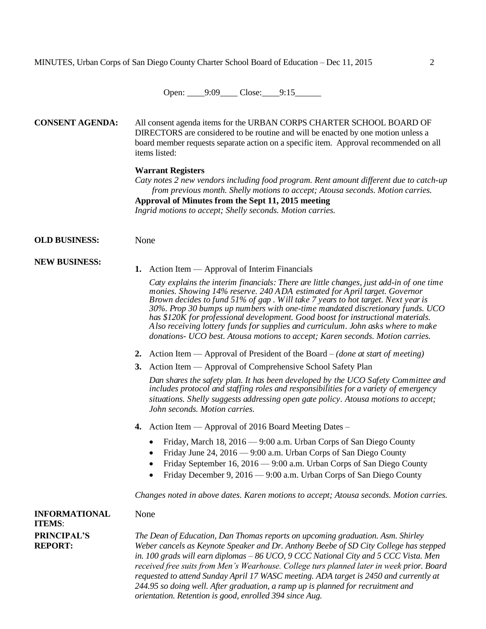Open: 9:09 Close: 9:15

**CONSENT AGENDA:** All consent agenda items for the URBAN CORPS CHARTER SCHOOL BOARD OF DIRECTORS are considered to be routine and will be enacted by one motion unless a board member requests separate action on a specific item. Approval recommended on all items listed:

#### **Warrant Registers**

*Caty notes 2 new vendors including food program. Rent amount different due to catch-up from previous month. Shelly motions to accept; Atousa seconds. Motion carries.* **Approval of Minutes from the Sept 11, 2015 meeting**

*Ingrid motions to accept; Shelly seconds. Motion carries.*

## **OLD BUSINESS:** None

**NEW BUSINESS:**

#### **1.** Action Item — Approval of Interim Financials

*Caty explains the interim financials: There are little changes, just add-in of one time monies. Showing 14% reserve. 240 ADA estimated for April target. Governor Brown decides to fund 51% of gap . Will take 7 years to hot target. Next year is 30%. Prop 30 bumps up numbers with one-time mandated discretionary funds. UCO has \$120K for professional development. Good boost for instructional materials. Also receiving lottery funds for supplies and curriculum. John asks where to make donations- UCO best. Atousa motions to accept; Karen seconds. Motion carries.*

- **2.** Action Item Approval of President of the Board *(done at start of meeting)*
- **3.** Action Item Approval of Comprehensive School Safety Plan

*Dan shares the safety plan. It has been developed by the UCO Safety Committee and includes protocol and staffing roles and responsibilities for a variety of emergency situations. Shelly suggests addressing open gate policy. Atousa motions to accept; John seconds. Motion carries.*

- **4.** Action Item Approval of 2016 Board Meeting Dates
	- Friday, March 18, 2016 9:00 a.m. Urban Corps of San Diego County
	- Friday June 24, 2016 9:00 a.m. Urban Corps of San Diego County
	- Friday September 16, 2016 9:00 a.m. Urban Corps of San Diego County
	- Friday December 9, 2016 9:00 a.m. Urban Corps of San Diego County

*Changes noted in above dates. Karen motions to accept; Atousa seconds. Motion carries.*

# **INFORMATIONAL ITEMS**: **PRINCIPAL'S REPORT:**

None

*The Dean of Education, Dan Thomas reports on upcoming graduation. Asm. Shirley Weber cancels as Keynote Speaker and Dr. Anthony Beebe of SD City College has stepped in. 100 grads will earn diplomas – 86 UCO, 9 CCC National City and 5 CCC Vista. Men received free suits from Men's Wearhouse. College turs planned later in week prior. Board requested to attend Sunday April 17 WASC meeting. ADA target is 2450 and currently at 244.95 so doing well. After graduation, a ramp up is planned for recruitment and orientation. Retention is good, enrolled 394 since Aug.*